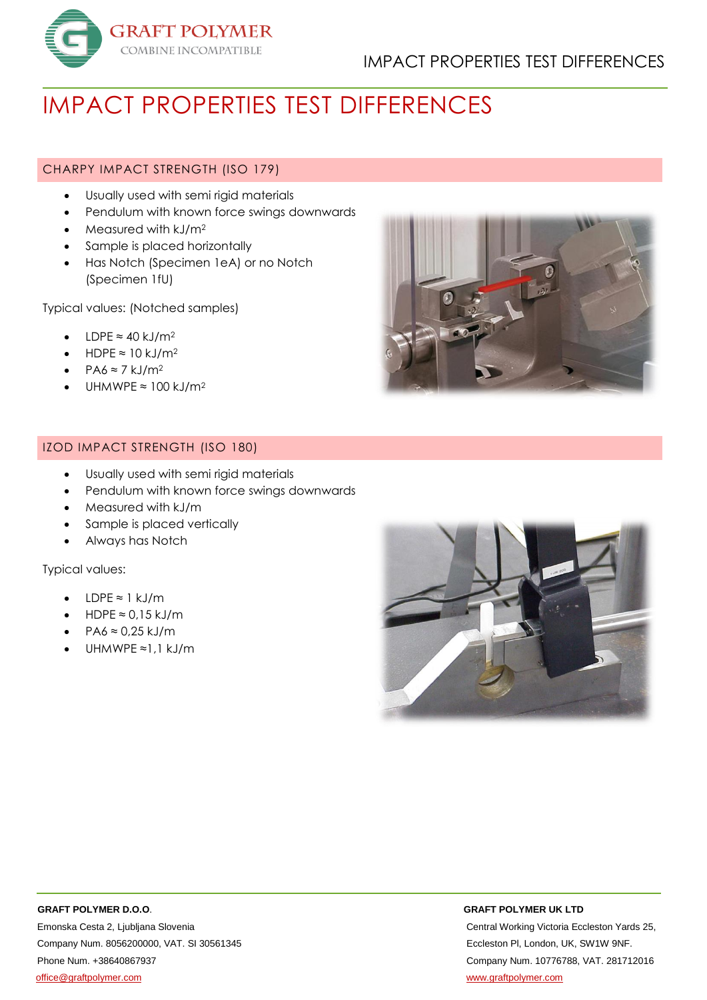

# IMPACT PROPERTIES TEST DIFFERENCES

# CHARPY IMPACT STRENGTH (ISO 179)

- Usually used with semi rigid materials
- Pendulum with known force swings downwards
- $\bullet$  Measured with kJ/m<sup>2</sup>
- Sample is placed horizontally
- Has Notch (Specimen 1eA) or no Notch (Specimen 1fU)

Typical values: (Notched samples)

- LDPE ≈ 40 kJ/m<sup>2</sup>
- HDPE  $\approx$  10 kJ/m<sup>2</sup>
- $PAA \approx 7$  kJ/m<sup>2</sup>
- UHMWPE  $≈ 100$  kJ/m<sup>2</sup>

# IZOD IMPACT STRENGTH (ISO 180)

- Usually used with semi rigid materials
- Pendulum with known force swings downwards
- Measured with kJ/m
- Sample is placed vertically
- Always has Notch

Typical values:

- $\cdot$  IDPF ≈ 1 kJ/m
- HDPE  $≈ 0.15$  kJ/m
- $\cdot$  PA6  $\approx$  0.25 kJ/m
- UHMWPE ≈1,1 kJ/m





Emonska Cesta 2, Ljubljana Slovenia Central Working Victoria Eccleston Yards 25, Company Num. 8056200000, VAT. SI 30561345 Eccleston Pl, London, UK, SW1W 9NF. Phone Num. +38640867937 Company Num. 10776788, VAT. 281712016 [office@graftpolymer.com](mailto:office@graftpolymer.com) [www.graftpolymer.com](http://www.graftpolymer.com/)

### **GRAFT POLYMER D.O.O**. **GRAFT POLYMER UK LTD**